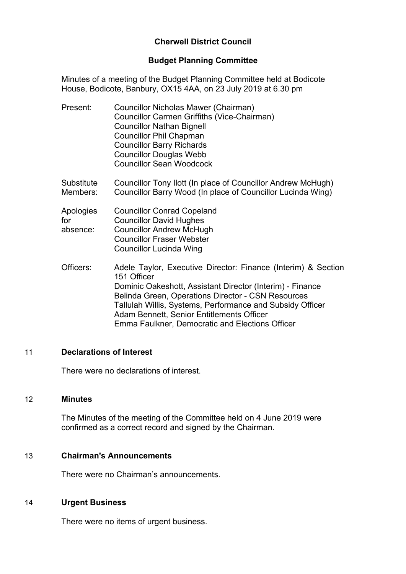# **Cherwell District Council**

## **Budget Planning Committee**

Minutes of a meeting of the Budget Planning Committee held at Bodicote House, Bodicote, Banbury, OX15 4AA, on 23 July 2019 at 6.30 pm

| Present: | Councillor Nicholas Mawer (Chairman)        |
|----------|---------------------------------------------|
|          | Councillor Carmen Griffiths (Vice-Chairman) |
|          | <b>Councillor Nathan Bignell</b>            |
|          | <b>Councillor Phil Chapman</b>              |
|          | <b>Councillor Barry Richards</b>            |
|          | <b>Councillor Douglas Webb</b>              |
|          | <b>Councillor Sean Woodcock</b>             |

**Substitute** Members: Councillor Tony Ilott (In place of Councillor Andrew McHugh) Councillor Barry Wood (In place of Councillor Lucinda Wing)

| Apologies | <b>Councillor Conrad Copeland</b> |
|-----------|-----------------------------------|
| for       | <b>Councillor David Hughes</b>    |
| absence:  | <b>Councillor Andrew McHugh</b>   |
|           | <b>Councillor Fraser Webster</b>  |
|           | <b>Councillor Lucinda Wing</b>    |

Officers: Adele Taylor, Executive Director: Finance (Interim) & Section 151 Officer Dominic Oakeshott, Assistant Director (Interim) - Finance Belinda Green, Operations Director - CSN Resources Tallulah Willis, Systems, Performance and Subsidy Officer Adam Bennett, Senior Entitlements Officer Emma Faulkner, Democratic and Elections Officer

### 11 **Declarations of Interest**

There were no declarations of interest.

### 12 **Minutes**

The Minutes of the meeting of the Committee held on 4 June 2019 were confirmed as a correct record and signed by the Chairman.

#### 13 **Chairman's Announcements**

There were no Chairman's announcements.

#### 14 **Urgent Business**

There were no items of urgent business.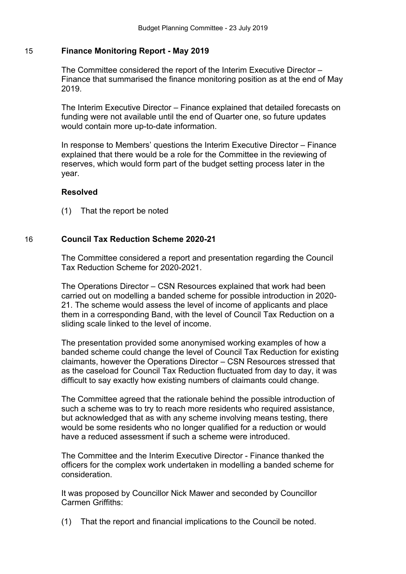## 15 **Finance Monitoring Report - May 2019**

The Committee considered the report of the Interim Executive Director – Finance that summarised the finance monitoring position as at the end of May 2019.

The Interim Executive Director – Finance explained that detailed forecasts on funding were not available until the end of Quarter one, so future updates would contain more up-to-date information.

In response to Members' questions the Interim Executive Director – Finance explained that there would be a role for the Committee in the reviewing of reserves, which would form part of the budget setting process later in the year.

# **Resolved**

(1) That the report be noted

## 16 **Council Tax Reduction Scheme 2020-21**

The Committee considered a report and presentation regarding the Council Tax Reduction Scheme for 2020-2021.

The Operations Director – CSN Resources explained that work had been carried out on modelling a banded scheme for possible introduction in 2020- 21. The scheme would assess the level of income of applicants and place them in a corresponding Band, with the level of Council Tax Reduction on a sliding scale linked to the level of income.

The presentation provided some anonymised working examples of how a banded scheme could change the level of Council Tax Reduction for existing claimants, however the Operations Director – CSN Resources stressed that as the caseload for Council Tax Reduction fluctuated from day to day, it was difficult to say exactly how existing numbers of claimants could change.

The Committee agreed that the rationale behind the possible introduction of such a scheme was to try to reach more residents who required assistance, but acknowledged that as with any scheme involving means testing, there would be some residents who no longer qualified for a reduction or would have a reduced assessment if such a scheme were introduced.

The Committee and the Interim Executive Director - Finance thanked the officers for the complex work undertaken in modelling a banded scheme for consideration.

It was proposed by Councillor Nick Mawer and seconded by Councillor Carmen Griffiths:

(1) That the report and financial implications to the Council be noted.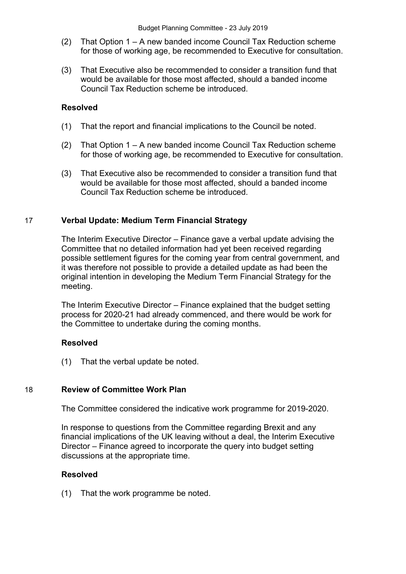- (2) That Option 1 A new banded income Council Tax Reduction scheme for those of working age, be recommended to Executive for consultation.
- (3) That Executive also be recommended to consider a transition fund that would be available for those most affected, should a banded income Council Tax Reduction scheme be introduced.

## **Resolved**

- (1) That the report and financial implications to the Council be noted.
- (2) That Option 1 A new banded income Council Tax Reduction scheme for those of working age, be recommended to Executive for consultation.
- (3) That Executive also be recommended to consider a transition fund that would be available for those most affected, should a banded income Council Tax Reduction scheme be introduced.

## 17 **Verbal Update: Medium Term Financial Strategy**

The Interim Executive Director – Finance gave a verbal update advising the Committee that no detailed information had yet been received regarding possible settlement figures for the coming year from central government, and it was therefore not possible to provide a detailed update as had been the original intention in developing the Medium Term Financial Strategy for the meeting.

The Interim Executive Director – Finance explained that the budget setting process for 2020-21 had already commenced, and there would be work for the Committee to undertake during the coming months.

## **Resolved**

(1) That the verbal update be noted.

## 18 **Review of Committee Work Plan**

The Committee considered the indicative work programme for 2019-2020.

In response to questions from the Committee regarding Brexit and any financial implications of the UK leaving without a deal, the Interim Executive Director – Finance agreed to incorporate the query into budget setting discussions at the appropriate time.

## **Resolved**

(1) That the work programme be noted.